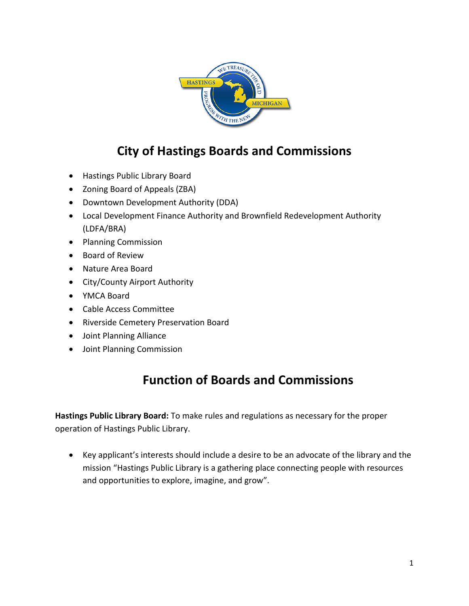

# **City of Hastings Boards and Commissions**

- Hastings Public Library Board
- Zoning Board of Appeals (ZBA)
- Downtown Development Authority (DDA)
- Local Development Finance Authority and Brownfield Redevelopment Authority (LDFA/BRA)
- Planning Commission
- Board of Review
- Nature Area Board
- City/County Airport Authority
- YMCA Board
- Cable Access Committee
- Riverside Cemetery Preservation Board
- Joint Planning Alliance
- Joint Planning Commission

# **Function of Boards and Commissions**

**Hastings Public Library Board:** To make rules and regulations as necessary for the proper operation of Hastings Public Library.

• Key applicant's interests should include a desire to be an advocate of the library and the mission "Hastings Public Library is a gathering place connecting people with resources and opportunities to explore, imagine, and grow".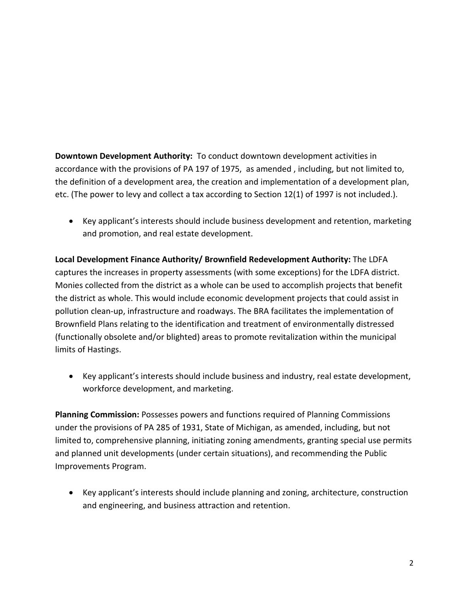**Downtown Development Authority:** To conduct downtown development activities in accordance with the provisions of PA 197 of 1975, as amended , including, but not limited to, the definition of a development area, the creation and implementation of a development plan, etc. (The power to levy and collect a tax according to Section 12(1) of 1997 is not included.).

• Key applicant's interests should include business development and retention, marketing and promotion, and real estate development.

**Local Development Finance Authority/ Brownfield Redevelopment Authority:** The LDFA captures the increases in property assessments (with some exceptions) for the LDFA district. Monies collected from the district as a whole can be used to accomplish projects that benefit the district as whole. This would include economic development projects that could assist in pollution clean-up, infrastructure and roadways. The BRA facilitates the implementation of Brownfield Plans relating to the identification and treatment of environmentally distressed (functionally obsolete and/or blighted) areas to promote revitalization within the municipal limits of Hastings.

• Key applicant's interests should include business and industry, real estate development, workforce development, and marketing.

**Planning Commission:** Possesses powers and functions required of Planning Commissions under the provisions of PA 285 of 1931, State of Michigan, as amended, including, but not limited to, comprehensive planning, initiating zoning amendments, granting special use permits and planned unit developments (under certain situations), and recommending the Public Improvements Program.

• Key applicant's interests should include planning and zoning, architecture, construction and engineering, and business attraction and retention.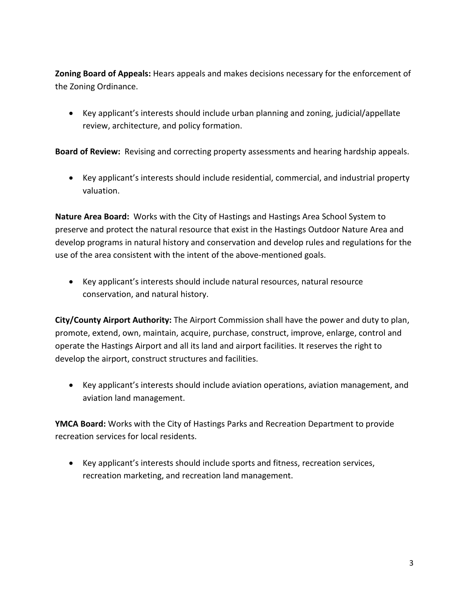**Zoning Board of Appeals:** Hears appeals and makes decisions necessary for the enforcement of the Zoning Ordinance.

• Key applicant's interests should include urban planning and zoning, judicial/appellate review, architecture, and policy formation.

**Board of Review:** Revising and correcting property assessments and hearing hardship appeals.

• Key applicant's interests should include residential, commercial, and industrial property valuation.

**Nature Area Board:** Works with the City of Hastings and Hastings Area School System to preserve and protect the natural resource that exist in the Hastings Outdoor Nature Area and develop programs in natural history and conservation and develop rules and regulations for the use of the area consistent with the intent of the above-mentioned goals.

• Key applicant's interests should include natural resources, natural resource conservation, and natural history.

**City/County Airport Authority:** The Airport Commission shall have the power and duty to plan, promote, extend, own, maintain, acquire, purchase, construct, improve, enlarge, control and operate the Hastings Airport and all its land and airport facilities. It reserves the right to develop the airport, construct structures and facilities.

• Key applicant's interests should include aviation operations, aviation management, and aviation land management.

**YMCA Board:** Works with the City of Hastings Parks and Recreation Department to provide recreation services for local residents.

• Key applicant's interests should include sports and fitness, recreation services, recreation marketing, and recreation land management.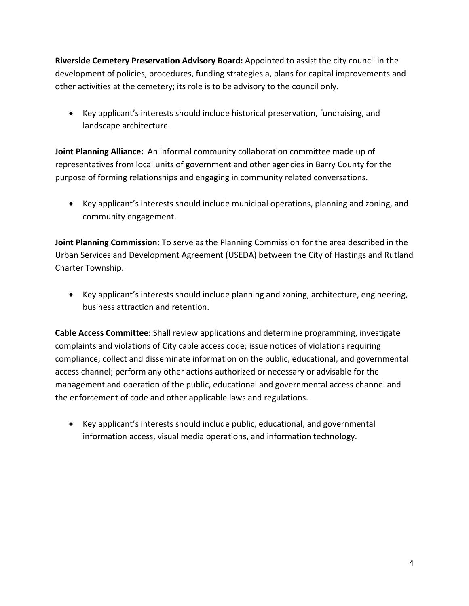**Riverside Cemetery Preservation Advisory Board:** Appointed to assist the city council in the development of policies, procedures, funding strategies a, plans for capital improvements and other activities at the cemetery; its role is to be advisory to the council only.

• Key applicant's interests should include historical preservation, fundraising, and landscape architecture.

**Joint Planning Alliance:** An informal community collaboration committee made up of representatives from local units of government and other agencies in Barry County for the purpose of forming relationships and engaging in community related conversations.

• Key applicant's interests should include municipal operations, planning and zoning, and community engagement.

**Joint Planning Commission:** To serve as the Planning Commission for the area described in the Urban Services and Development Agreement (USEDA) between the City of Hastings and Rutland Charter Township.

• Key applicant's interests should include planning and zoning, architecture, engineering, business attraction and retention.

**Cable Access Committee:** Shall review applications and determine programming, investigate complaints and violations of City cable access code; issue notices of violations requiring compliance; collect and disseminate information on the public, educational, and governmental access channel; perform any other actions authorized or necessary or advisable for the management and operation of the public, educational and governmental access channel and the enforcement of code and other applicable laws and regulations.

• Key applicant's interests should include public, educational, and governmental information access, visual media operations, and information technology.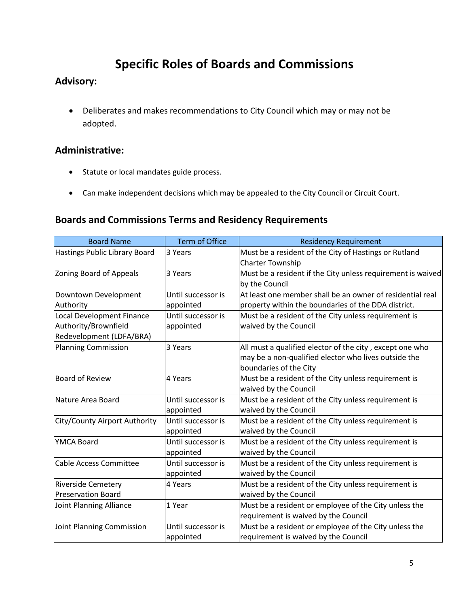# **Specific Roles of Boards and Commissions**

## **Advisory:**

• Deliberates and makes recommendations to City Council which may or may not be adopted.

## **Administrative:**

- Statute or local mandates guide process.
- Can make independent decisions which may be appealed to the City Council or Circuit Court.

## **Boards and Commissions Terms and Residency Requirements**

| <b>Board Name</b>              | <b>Term of Office</b> | <b>Residency Requirement</b>                                |
|--------------------------------|-----------------------|-------------------------------------------------------------|
| Hastings Public Library Board  | 3 Years               | Must be a resident of the City of Hastings or Rutland       |
|                                |                       | <b>Charter Township</b>                                     |
| Zoning Board of Appeals        | 3 Years               | Must be a resident if the City unless requirement is waived |
|                                |                       | by the Council                                              |
| Downtown Development           | Until successor is    | At least one member shall be an owner of residential real   |
| Authority                      | appointed             | property within the boundaries of the DDA district.         |
| Local Development Finance      | Until successor is    | Must be a resident of the City unless requirement is        |
| Authority/Brownfield           | appointed             | waived by the Council                                       |
| Redevelopment (LDFA/BRA)       |                       |                                                             |
| Planning Commission            | 3 Years               | All must a qualified elector of the city, except one who    |
|                                |                       | may be a non-qualified elector who lives outside the        |
|                                |                       | boundaries of the City                                      |
| Board of Review                | 4 Years               | Must be a resident of the City unless requirement is        |
|                                |                       | waived by the Council                                       |
| lNature Area Board             | Until successor is    | Must be a resident of the City unless requirement is        |
|                                | appointed             | waived by the Council                                       |
| City/County Airport Authority  | Until successor is    | Must be a resident of the City unless requirement is        |
|                                | appointed             | waived by the Council                                       |
| YMCA Board                     | Until successor is    | Must be a resident of the City unless requirement is        |
|                                | appointed             | waived by the Council                                       |
| <b>Cable Access Committee</b>  | Until successor is    | Must be a resident of the City unless requirement is        |
|                                | appointed             | waived by the Council                                       |
| <b>Riverside Cemetery</b>      | 4 Years               | Must be a resident of the City unless requirement is        |
| Preservation Board             |                       | waived by the Council                                       |
| <b>Joint Planning Alliance</b> | 1 Year                | Must be a resident or employee of the City unless the       |
|                                |                       | requirement is waived by the Council                        |
| Joint Planning Commission      | Until successor is    | Must be a resident or employee of the City unless the       |
|                                | appointed             | requirement is waived by the Council                        |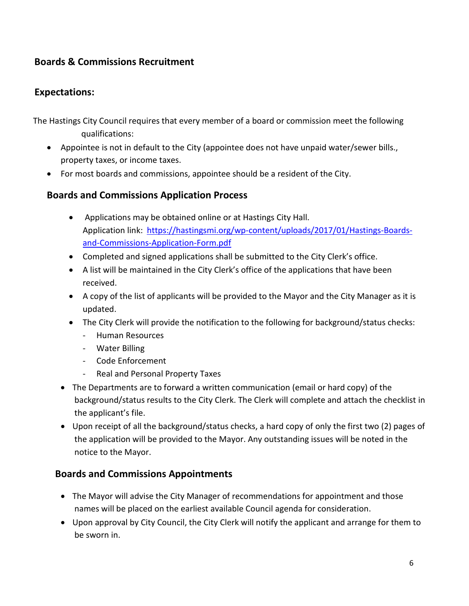## **Boards & Commissions Recruitment**

### **Expectations:**

The Hastings City Council requires that every member of a board or commission meet the following qualifications:

- Appointee is not in default to the City (appointee does not have unpaid water/sewer bills., property taxes, or income taxes.
- For most boards and commissions, appointee should be a resident of the City.

### **Boards and Commissions Application Process**

- Applications may be obtained online or at Hastings City Hall. Application link: [https://hastingsmi.org/wp-content/uploads/2017/01/Hastings-Boards](https://hastingsmi.org/wp-content/uploads/2017/01/Hastings-Boards-and-Commissions-Application-Form.pdf)[and-Commissions-Application-Form.pdf](https://hastingsmi.org/wp-content/uploads/2017/01/Hastings-Boards-and-Commissions-Application-Form.pdf)
- Completed and signed applications shall be submitted to the City Clerk's office.
- A list will be maintained in the City Clerk's office of the applications that have been received.
- A copy of the list of applicants will be provided to the Mayor and the City Manager as it is updated.
- The City Clerk will provide the notification to the following for background/status checks:
	- Human Resources
	- Water Billing
	- Code Enforcement
	- Real and Personal Property Taxes
- The Departments are to forward a written communication (email or hard copy) of the background/status results to the City Clerk. The Clerk will complete and attach the checklist in the applicant's file.
- Upon receipt of all the background/status checks, a hard copy of only the first two (2) pages of the application will be provided to the Mayor. Any outstanding issues will be noted in the notice to the Mayor.

#### **Boards and Commissions Appointments**

- The Mayor will advise the City Manager of recommendations for appointment and those names will be placed on the earliest available Council agenda for consideration.
- Upon approval by City Council, the City Clerk will notify the applicant and arrange for them to be sworn in.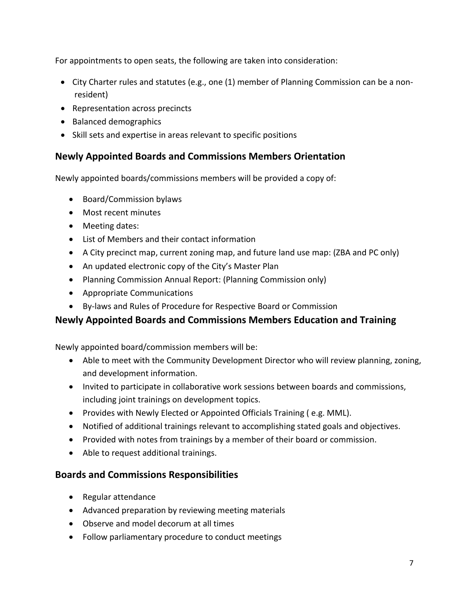For appointments to open seats, the following are taken into consideration:

- City Charter rules and statutes (e.g., one (1) member of Planning Commission can be a nonresident)
- Representation across precincts
- Balanced demographics
- Skill sets and expertise in areas relevant to specific positions

## **Newly Appointed Boards and Commissions Members Orientation**

Newly appointed boards/commissions members will be provided a copy of:

- Board/Commission bylaws
- Most recent minutes
- Meeting dates:
- List of Members and their contact information
- A City precinct map, current zoning map, and future land use map: (ZBA and PC only)
- An updated electronic copy of the City's Master Plan
- Planning Commission Annual Report: (Planning Commission only)
- Appropriate Communications
- By-laws and Rules of Procedure for Respective Board or Commission

## **Newly Appointed Boards and Commissions Members Education and Training**

Newly appointed board/commission members will be:

- Able to meet with the Community Development Director who will review planning, zoning, and development information.
- Invited to participate in collaborative work sessions between boards and commissions, including joint trainings on development topics.
- Provides with Newly Elected or Appointed Officials Training ( e.g. MML).
- Notified of additional trainings relevant to accomplishing stated goals and objectives.
- Provided with notes from trainings by a member of their board or commission.
- Able to request additional trainings.

#### **Boards and Commissions Responsibilities**

- Regular attendance
- Advanced preparation by reviewing meeting materials
- Observe and model decorum at all times
- Follow parliamentary procedure to conduct meetings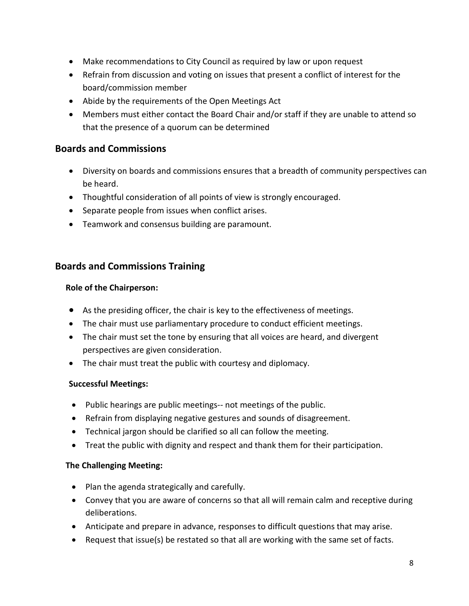- Make recommendations to City Council as required by law or upon request
- Refrain from discussion and voting on issues that present a conflict of interest for the board/commission member
- Abide by the requirements of the Open Meetings Act
- Members must either contact the Board Chair and/or staff if they are unable to attend so that the presence of a quorum can be determined

### **Boards and Commissions**

- Diversity on boards and commissions ensures that a breadth of community perspectives can be heard.
- Thoughtful consideration of all points of view is strongly encouraged.
- Separate people from issues when conflict arises.
- Teamwork and consensus building are paramount.

### **Boards and Commissions Training**

#### **Role of the Chairperson:**

- As the presiding officer, the chair is key to the effectiveness of meetings.
- The chair must use parliamentary procedure to conduct efficient meetings.
- The chair must set the tone by ensuring that all voices are heard, and divergent perspectives are given consideration.
- The chair must treat the public with courtesy and diplomacy.

#### **Successful Meetings:**

- Public hearings are public meetings-- not meetings of the public.
- Refrain from displaying negative gestures and sounds of disagreement.
- Technical jargon should be clarified so all can follow the meeting.
- Treat the public with dignity and respect and thank them for their participation.

#### **The Challenging Meeting:**

- Plan the agenda strategically and carefully.
- Convey that you are aware of concerns so that all will remain calm and receptive during deliberations.
- Anticipate and prepare in advance, responses to difficult questions that may arise.
- Request that issue(s) be restated so that all are working with the same set of facts.